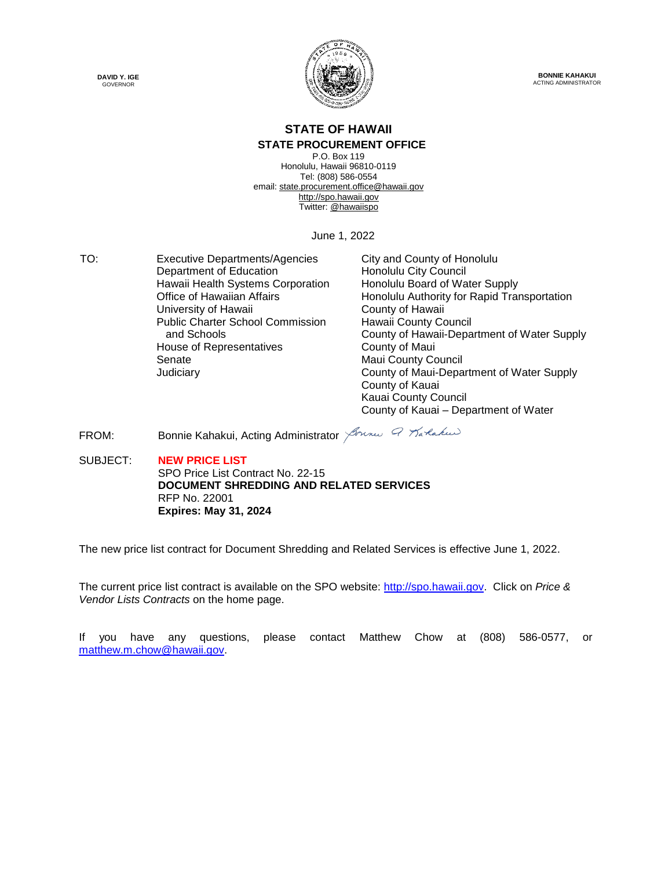



**BONNIE KAHAKUI** ACTING ADMINISTRATOR

#### **STATE OF HAWAII**

#### **STATE PROCUREMENT OFFICE**

P.O. Box 119 Honolulu, Hawaii 96810-0119 Tel: (808) 586-0554 email[: state.procurement.office@hawaii.gov](mailto:state.procurement.office@hawaii.gov) [http://spo.hawaii.gov](http://spo.hawaii.gov/) Twitter: [@hawaiispo](https://twitter.com/hawaiispo)

June 1, 2022

TO: Executive Departments/Agencies City and County of Honolulu<br>Department of Education Honolulu City Council Department of Education Hawaii Health Systems Corporation Free Honolulu Board of Water Supply<br>
Office of Hawaiian Affairs Free Honolulu Authority for Rapid Tra University of Hawaii **County of Hawaii** County of Hawaii Public Charter School Commission and Schools House of Representatives **County of Maui** Senate **Maui County Council** Maui County Council

Honolulu Authority for Rapid Transportation Hawaii County Council County of Hawaii-Department of Water Supply Judiciary County of Maui-Department of Water Supply County of Kauai Kauai County Council County of Kauai – Department of Water

FROM: Bonnie Kahakui, Acting Administrator *Arme Q Tarakus* 

SUBJECT: **NEW PRICE LIST** SPO Price List Contract No. 22-15 **DOCUMENT SHREDDING AND RELATED SERVICES** RFP No. 22001 **Expires: May 31, 2024**

The new price list contract for Document Shredding and Related Services is effective June 1, 2022.

The current price list contract is available on the SPO website: [http://spo.hawaii.gov.](http://spo.hawaii.gov/) Click on *Price & Vendor Lists Contracts* on the home page.

If you have any questions, please contact Matthew Chow at (808) 586-0577, or [matthew.m.chow@hawaii.gov.](mailto:matthew.m.chow@hawaii.gov)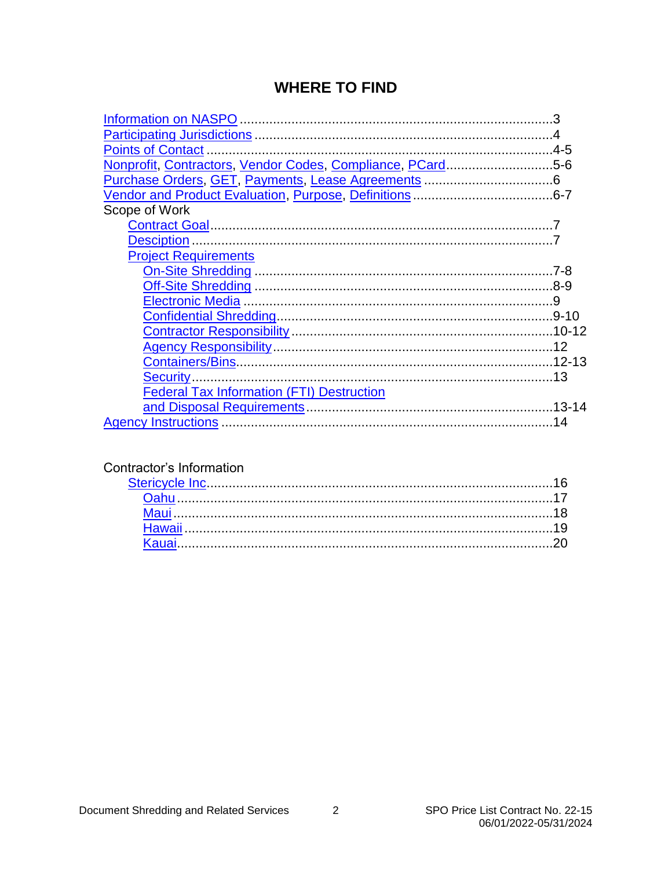#### **WHERE TO FIND**

| Nonprofit, Contractors, Vendor Codes, Compliance, PCard5-6 |  |
|------------------------------------------------------------|--|
|                                                            |  |
|                                                            |  |
| Scope of Work                                              |  |
|                                                            |  |
|                                                            |  |
| <b>Project Requirements</b>                                |  |
|                                                            |  |
|                                                            |  |
|                                                            |  |
|                                                            |  |
|                                                            |  |
|                                                            |  |
|                                                            |  |
|                                                            |  |
| <b>Federal Tax Information (FTI) Destruction</b>           |  |
|                                                            |  |
|                                                            |  |

#### Contractor's Information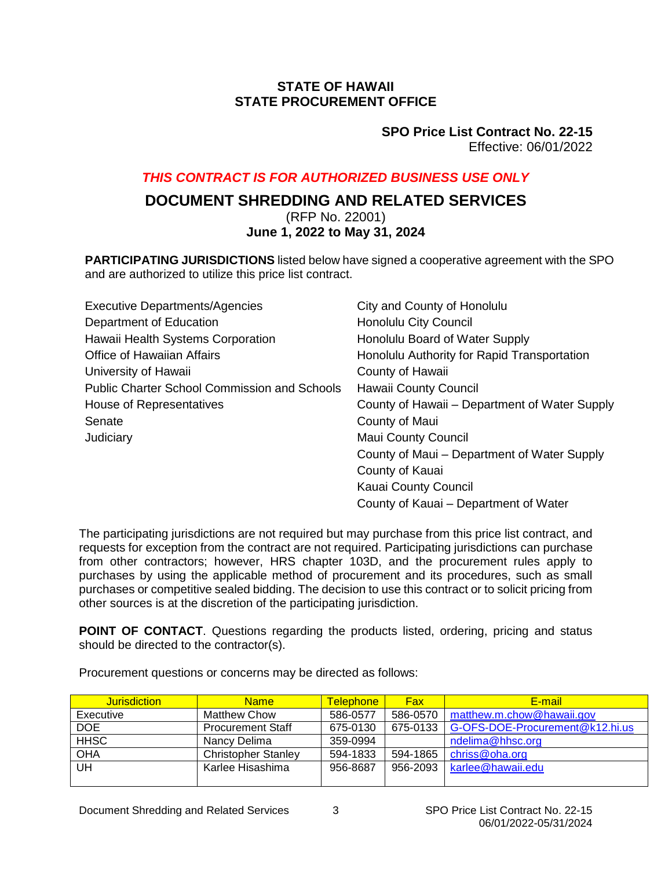#### **STATE OF HAWAII STATE PROCUREMENT OFFICE**

#### **SPO Price List Contract No. 22-15** Effective: 06/01/2022

#### <span id="page-2-0"></span>*THIS CONTRACT IS FOR AUTHORIZED BUSINESS USE ONLY*

### **DOCUMENT SHREDDING AND RELATED SERVICES**

(RFP No. 22001)

#### **June 1, 2022 to May 31, 2024**

**PARTICIPATING JURISDICTIONS** listed below have signed a cooperative agreement with the SPO and are authorized to utilize this price list contract.

| <b>Executive Departments/Agencies</b>               | City and County of Honolulu                   |
|-----------------------------------------------------|-----------------------------------------------|
| Department of Education                             | Honolulu City Council                         |
| Hawaii Health Systems Corporation                   | Honolulu Board of Water Supply                |
| <b>Office of Hawaiian Affairs</b>                   | Honolulu Authority for Rapid Transportation   |
| University of Hawaii                                | County of Hawaii                              |
| <b>Public Charter School Commission and Schools</b> | Hawaii County Council                         |
| House of Representatives                            | County of Hawaii – Department of Water Supply |
| Senate                                              | County of Maui                                |
| Judiciary                                           | <b>Maui County Council</b>                    |
|                                                     | County of Maui - Department of Water Supply   |
|                                                     | County of Kauai                               |
|                                                     | Kauai County Council                          |
|                                                     | County of Kauai – Department of Water         |

The participating jurisdictions are not required but may purchase from this price list contract, and requests for exception from the contract are not required. Participating jurisdictions can purchase from other contractors; however, HRS chapter 103D, and the procurement rules apply to purchases by using the applicable method of procurement and its procedures, such as small purchases or competitive sealed bidding. The decision to use this contract or to solicit pricing from other sources is at the discretion of the participating jurisdiction.

**POINT OF CONTACT**. Questions regarding the products listed, ordering, pricing and status should be directed to the contractor(s).

Procurement questions or concerns may be directed as follows:

| <b>Jurisdiction</b> | <b>Name</b>                | <b>Telephone</b> | <b>Fax</b> | E-mail                          |
|---------------------|----------------------------|------------------|------------|---------------------------------|
| Executive           | <b>Matthew Chow</b>        | 586-0577         | 586-0570   | matthew.m.chow@hawaii.gov       |
| <b>DOE</b>          | <b>Procurement Staff</b>   | 675-0130         | 675-0133   | G-OFS-DOE-Procurement@k12.hi.us |
| <b>HHSC</b>         | Nancy Delima               | 359-0994         |            | ndelima@hhsc.org                |
| <b>OHA</b>          | <b>Christopher Stanley</b> | 594-1833         | 594-1865   | chriss@oha.org                  |
| UH                  | Karlee Hisashima           | 956-8687         | 956-2093   | karlee@hawaii.edu               |
|                     |                            |                  |            |                                 |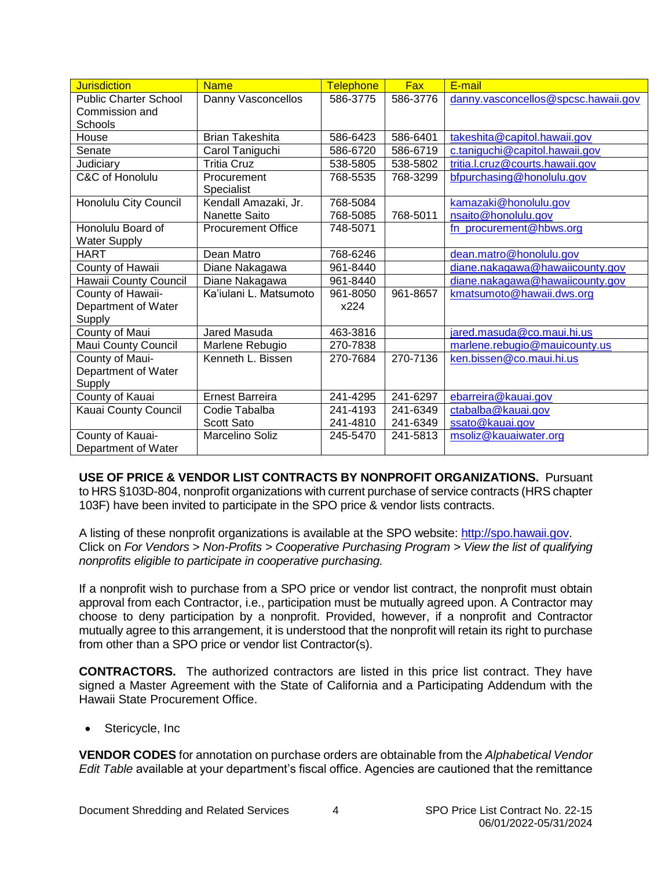<span id="page-3-0"></span>

| <b>Jurisdiction</b>          | <b>Name</b>               | <b>Telephone</b> | <b>Fax</b> | E-mail                              |
|------------------------------|---------------------------|------------------|------------|-------------------------------------|
| <b>Public Charter School</b> | Danny Vasconcellos        | 586-3775         | 586-3776   | danny.vasconcellos@spcsc.hawaii.gov |
| Commission and               |                           |                  |            |                                     |
| Schools                      |                           |                  |            |                                     |
| House                        | <b>Brian Takeshita</b>    | 586-6423         | 586-6401   | takeshita@capitol.hawaii.gov        |
| Senate                       | Carol Taniguchi           | 586-6720         | 586-6719   | c.taniguchi@capitol.hawaii.gov      |
| Judiciary                    | Tritia Cruz               | 538-5805         | 538-5802   | tritia.l.cruz@courts.hawaii.gov     |
| C&C of Honolulu              | Procurement               | 768-5535         | 768-3299   | bfpurchasing@honolulu.gov           |
|                              | Specialist                |                  |            |                                     |
| Honolulu City Council        | Kendall Amazaki, Jr.      | 768-5084         |            | kamazaki@honolulu.gov               |
|                              | Nanette Saito             | 768-5085         | 768-5011   | nsaito@honolulu.gov                 |
| Honolulu Board of            | <b>Procurement Office</b> | 748-5071         |            | fn_procurement@hbws.org             |
| <b>Water Supply</b>          |                           |                  |            |                                     |
| <b>HART</b>                  | Dean Matro                | 768-6246         |            | dean.matro@honolulu.gov             |
| County of Hawaii             | Diane Nakagawa            | 961-8440         |            | diane.nakagawa@hawaiicounty.gov     |
| Hawaii County Council        | Diane Nakagawa            | 961-8440         |            | diane.nakagawa@hawaiicounty.gov     |
| County of Hawaii-            | Ka'iulani L. Matsumoto    | 961-8050         | 961-8657   | kmatsumoto@hawaii.dws.org           |
| Department of Water          |                           | x224             |            |                                     |
| Supply                       |                           |                  |            |                                     |
| County of Maui               | Jared Masuda              | 463-3816         |            | jared.masuda@co.maui.hi.us          |
| <b>Maui County Council</b>   | Marlene Rebugio           | 270-7838         |            | marlene.rebugio@mauicounty.us       |
| County of Maui-              | Kenneth L. Bissen         | 270-7684         | 270-7136   | ken.bissen@co.maui.hi.us            |
| Department of Water          |                           |                  |            |                                     |
| Supply                       |                           |                  |            |                                     |
| County of Kauai              | <b>Ernest Barreira</b>    | 241-4295         | 241-6297   | ebarreira@kauai.gov                 |
| Kauai County Council         | Codie Tabalba             | 241-4193         | 241-6349   | ctabalba@kauai.gov                  |
|                              | Scott Sato                | 241-4810         | 241-6349   | ssato@kauai.gov                     |
| County of Kauai-             | <b>Marcelino Soliz</b>    | 245-5470         | 241-5813   | msoliz@kauaiwater.org               |
| Department of Water          |                           |                  |            |                                     |

**USE OF PRICE & VENDOR LIST CONTRACTS BY NONPROFIT ORGANIZATIONS.** Pursuant to HRS §103D-804, nonprofit organizations with current purchase of service contracts (HRS chapter 103F) have been invited to participate in the SPO price & vendor lists contracts.

A listing of these nonprofit organizations is available at the SPO website: [http://spo.hawaii.gov.](http://spo.hawaii.gov/) Click on *For Vendors > Non-Profits > Cooperative Purchasing Program > View the list of qualifying nonprofits eligible to participate in cooperative purchasing.*

If a nonprofit wish to purchase from a SPO price or vendor list contract, the nonprofit must obtain approval from each Contractor, i.e., participation must be mutually agreed upon. A Contractor may choose to deny participation by a nonprofit. Provided, however, if a nonprofit and Contractor mutually agree to this arrangement, it is understood that the nonprofit will retain its right to purchase from other than a SPO price or vendor list Contractor(s).

**CONTRACTORS.** The authorized contractors are listed in this price list contract. They have signed a Master Agreement with the State of California and a Participating Addendum with the Hawaii State Procurement Office.

• Stericycle, Inc

**VENDOR CODES** for annotation on purchase orders are obtainable from the *Alphabetical Vendor Edit Table* available at your department's fiscal office. Agencies are cautioned that the remittance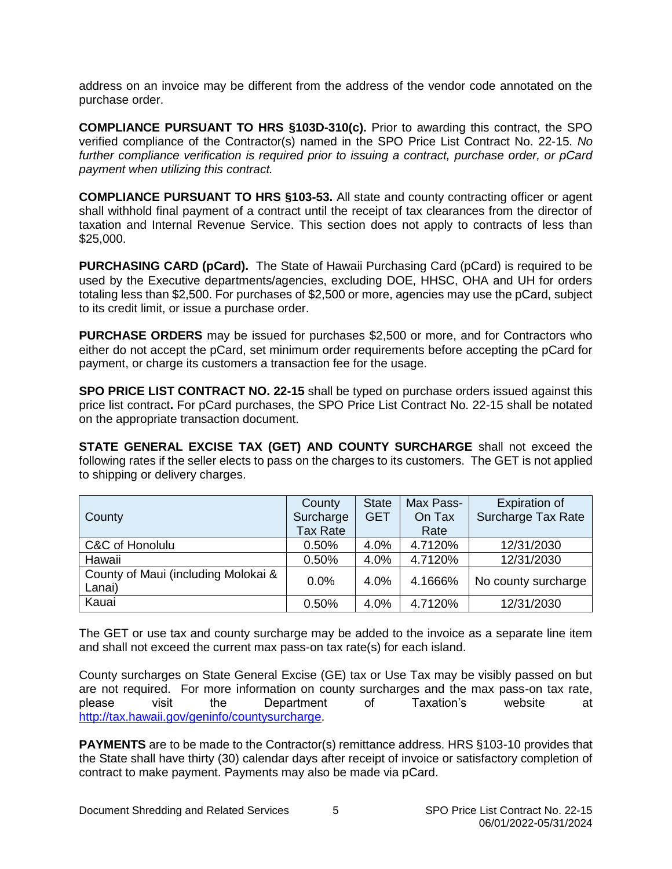<span id="page-4-0"></span>address on an invoice may be different from the address of the vendor code annotated on the purchase order.

**COMPLIANCE PURSUANT TO HRS §103D-310(c).** Prior to awarding this contract, the SPO verified compliance of the Contractor(s) named in the SPO Price List Contract No. 22-15. *No further compliance verification is required prior to issuing a contract, purchase order, or pCard payment when utilizing this contract.*

**COMPLIANCE PURSUANT TO HRS §103-53.** All state and county contracting officer or agent shall withhold final payment of a contract until the receipt of tax clearances from the director of taxation and Internal Revenue Service. This section does not apply to contracts of less than \$25,000.

**PURCHASING CARD (pCard).** The State of Hawaii Purchasing Card (pCard) is required to be used by the Executive departments/agencies, excluding DOE, HHSC, OHA and UH for orders totaling less than \$2,500. For purchases of \$2,500 or more, agencies may use the pCard, subject to its credit limit, or issue a purchase order.

**PURCHASE ORDERS** may be issued for purchases \$2,500 or more, and for Contractors who either do not accept the pCard, set minimum order requirements before accepting the pCard for payment, or charge its customers a transaction fee for the usage.

**SPO PRICE LIST CONTRACT NO. 22-15** shall be typed on purchase orders issued against this price list contract**.** For pCard purchases, the SPO Price List Contract No. 22-15 shall be notated on the appropriate transaction document.

**STATE GENERAL EXCISE TAX (GET) AND COUNTY SURCHARGE** shall not exceed the following rates if the seller elects to pass on the charges to its customers. The GET is not applied to shipping or delivery charges.

|                                               | County          | <b>State</b> | Max Pass- | <b>Expiration of</b>      |
|-----------------------------------------------|-----------------|--------------|-----------|---------------------------|
| County                                        | Surcharge       | <b>GET</b>   | On Tax    | <b>Surcharge Tax Rate</b> |
|                                               | <b>Tax Rate</b> |              | Rate      |                           |
| C&C of Honolulu                               | 0.50%           | 4.0%         | 4.7120%   | 12/31/2030                |
| Hawaii                                        | 0.50%           | 4.0%         | 4.7120%   | 12/31/2030                |
| County of Maui (including Molokai &<br>Lanai) | 0.0%            | 4.0%         | 4.1666%   | No county surcharge       |
| Kauai                                         | 0.50%           | 4.0%         | 4.7120%   | 12/31/2030                |

The GET or use tax and county surcharge may be added to the invoice as a separate line item and shall not exceed the current max pass-on tax rate(s) for each island.

County surcharges on State General Excise (GE) tax or Use Tax may be visibly passed on but are not required. For more information on county surcharges and the max pass-on tax rate, please visit the Department of Taxation's website at [http://tax.hawaii.gov/geninfo/countysurcharge.](http://tax.hawaii.gov/geninfo/countysurcharge)

**PAYMENTS** are to be made to the Contractor(s) remittance address. HRS §103-10 provides that the State shall have thirty (30) calendar days after receipt of invoice or satisfactory completion of contract to make payment. Payments may also be made via pCard.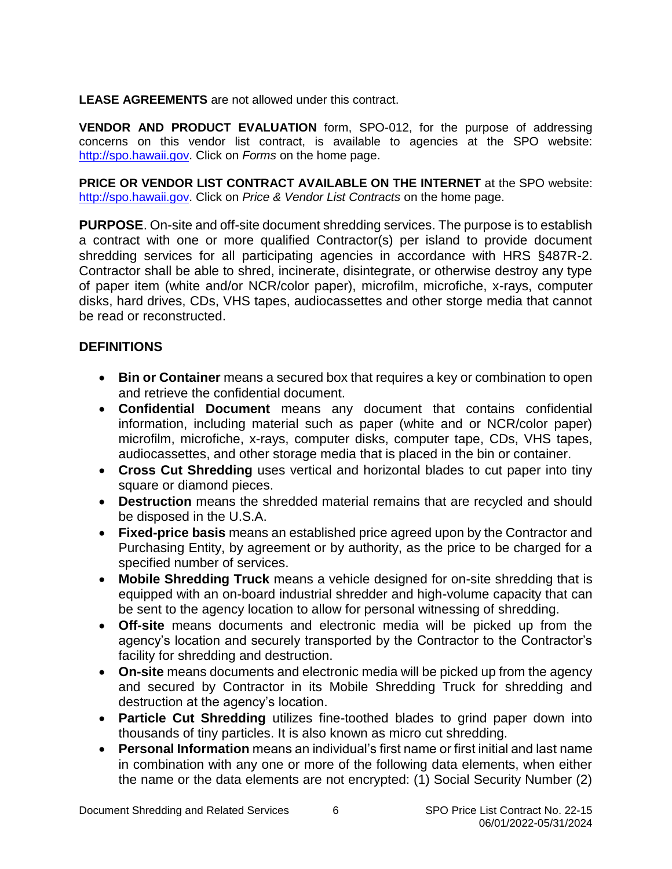<span id="page-5-0"></span>**LEASE AGREEMENTS** are not allowed under this contract.

**VENDOR AND PRODUCT EVALUATION** form, SPO-012, for the purpose of addressing concerns on this vendor list contract, is available to agencies at the SPO website: [http://spo.hawaii.gov.](http://spo.hawaii.gov/) Click on *Forms* on the home page.

**PRICE OR VENDOR LIST CONTRACT AVAILABLE ON THE INTERNET** at the SPO website: [http://spo.hawaii.gov.](http://spo.hawaii.gov/) Click on *Price & Vendor List Contracts* on the home page.

**PURPOSE**. On-site and off-site document shredding services. The purpose is to establish a contract with one or more qualified Contractor(s) per island to provide document shredding services for all participating agencies in accordance with HRS §487R-2. Contractor shall be able to shred, incinerate, disintegrate, or otherwise destroy any type of paper item (white and/or NCR/color paper), microfilm, microfiche, x-rays, computer disks, hard drives, CDs, VHS tapes, audiocassettes and other storge media that cannot be read or reconstructed.

#### **DEFINITIONS**

- **Bin or Container** means a secured box that requires a key or combination to open and retrieve the confidential document.
- **Confidential Document** means any document that contains confidential information, including material such as paper (white and or NCR/color paper) microfilm, microfiche, x-rays, computer disks, computer tape, CDs, VHS tapes, audiocassettes, and other storage media that is placed in the bin or container.
- **Cross Cut Shredding** uses vertical and horizontal blades to cut paper into tiny square or diamond pieces.
- **Destruction** means the shredded material remains that are recycled and should be disposed in the U.S.A.
- **Fixed-price basis** means an established price agreed upon by the Contractor and Purchasing Entity, by agreement or by authority, as the price to be charged for a specified number of services.
- **Mobile Shredding Truck** means a vehicle designed for on-site shredding that is equipped with an on-board industrial shredder and high-volume capacity that can be sent to the agency location to allow for personal witnessing of shredding.
- **Off-site** means documents and electronic media will be picked up from the agency's location and securely transported by the Contractor to the Contractor's facility for shredding and destruction.
- **On-site** means documents and electronic media will be picked up from the agency and secured by Contractor in its Mobile Shredding Truck for shredding and destruction at the agency's location.
- **Particle Cut Shredding** utilizes fine-toothed blades to grind paper down into thousands of tiny particles. It is also known as micro cut shredding.
- **Personal Information** means an individual's first name or first initial and last name in combination with any one or more of the following data elements, when either the name or the data elements are not encrypted: (1) Social Security Number (2)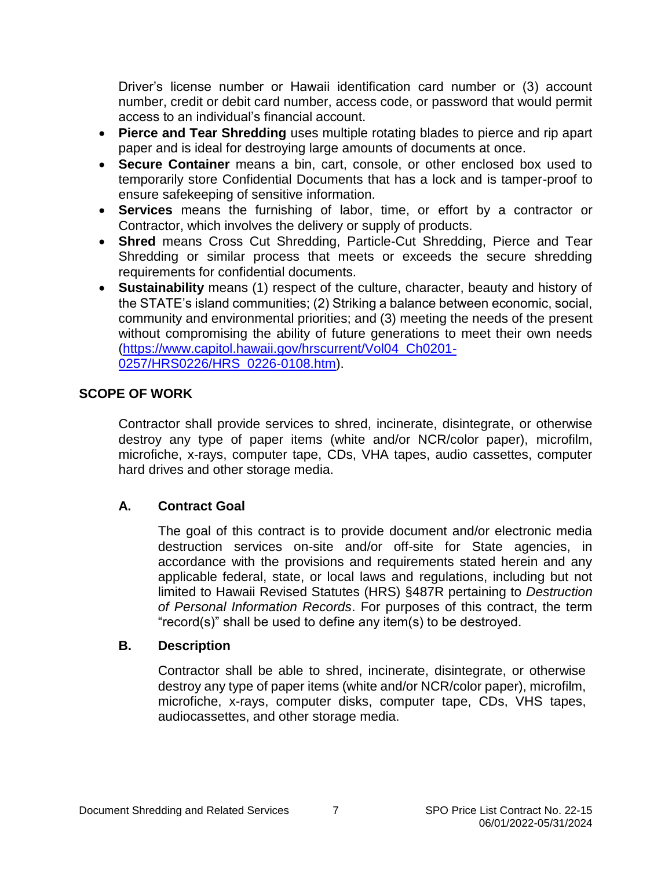<span id="page-6-0"></span>Driver's license number or Hawaii identification card number or (3) account number, credit or debit card number, access code, or password that would permit access to an individual's financial account.

- **Pierce and Tear Shredding** uses multiple rotating blades to pierce and rip apart paper and is ideal for destroying large amounts of documents at once.
- **Secure Container** means a bin, cart, console, or other enclosed box used to temporarily store Confidential Documents that has a lock and is tamper-proof to ensure safekeeping of sensitive information.
- **Services** means the furnishing of labor, time, or effort by a contractor or Contractor, which involves the delivery or supply of products.
- **Shred** means Cross Cut Shredding, Particle-Cut Shredding, Pierce and Tear Shredding or similar process that meets or exceeds the secure shredding requirements for confidential documents.
- **Sustainability** means (1) respect of the culture, character, beauty and history of the STATE's island communities; (2) Striking a balance between economic, social, community and environmental priorities; and (3) meeting the needs of the present without compromising the ability of future generations to meet their own needs [\(https://www.capitol.hawaii.gov/hrscurrent/Vol04\\_Ch0201-](https://www.capitol.hawaii.gov/hrscurrent/Vol04_Ch0201-0257/HRS0226/HRS_0226-0108.htm) [0257/HRS0226/HRS\\_0226-0108.htm\)](https://www.capitol.hawaii.gov/hrscurrent/Vol04_Ch0201-0257/HRS0226/HRS_0226-0108.htm).

#### **SCOPE OF WORK**

Contractor shall provide services to shred, incinerate, disintegrate, or otherwise destroy any type of paper items (white and/or NCR/color paper), microfilm, microfiche, x-rays, computer tape, CDs, VHA tapes, audio cassettes, computer hard drives and other storage media.

#### **A. Contract Goal**

The goal of this contract is to provide document and/or electronic media destruction services on-site and/or off-site for State agencies, in accordance with the provisions and requirements stated herein and any applicable federal, state, or local laws and regulations, including but not limited to Hawaii Revised Statutes (HRS) §487R pertaining to *Destruction of Personal Information Records*. For purposes of this contract, the term "record(s)" shall be used to define any item(s) to be destroyed.

#### **B. Description**

Contractor shall be able to shred, incinerate, disintegrate, or otherwise destroy any type of paper items (white and/or NCR/color paper), microfilm, microfiche, x-rays, computer disks, computer tape, CDs, VHS tapes, audiocassettes, and other storage media.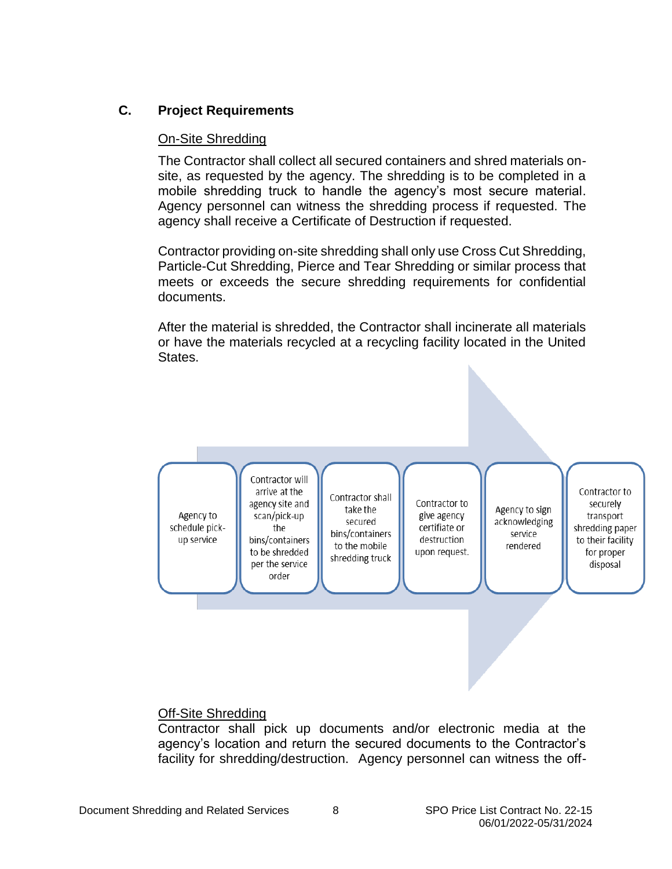#### <span id="page-7-0"></span>**C. Project Requirements**

#### On-Site Shredding

The Contractor shall collect all secured containers and shred materials onsite, as requested by the agency. The shredding is to be completed in a mobile shredding truck to handle the agency's most secure material. Agency personnel can witness the shredding process if requested. The agency shall receive a Certificate of Destruction if requested.

Contractor providing on-site shredding shall only use Cross Cut Shredding, Particle-Cut Shredding, Pierce and Tear Shredding or similar process that meets or exceeds the secure shredding requirements for confidential documents.

After the material is shredded, the Contractor shall incinerate all materials or have the materials recycled at a recycling facility located in the United States.



#### Off-Site Shredding

Contractor shall pick up documents and/or electronic media at the agency's location and return the secured documents to the Contractor's facility for shredding/destruction. Agency personnel can witness the off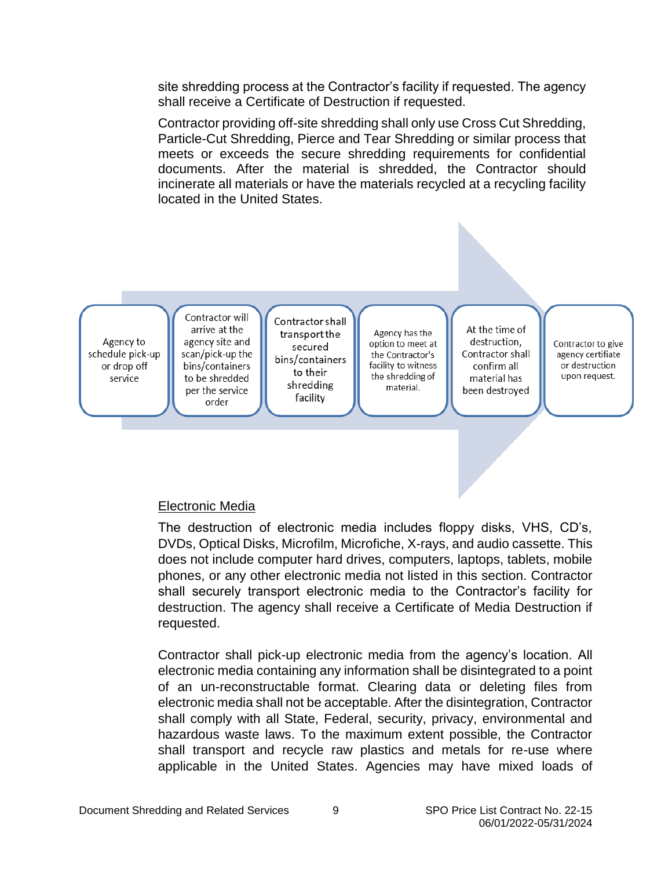<span id="page-8-0"></span>site shredding process at the Contractor's facility if requested. The agency shall receive a Certificate of Destruction if requested.

Contractor providing off-site shredding shall only use Cross Cut Shredding, Particle-Cut Shredding, Pierce and Tear Shredding or similar process that meets or exceeds the secure shredding requirements for confidential documents. After the material is shredded, the Contractor should incinerate all materials or have the materials recycled at a recycling facility located in the United States.



#### Electronic Media

The destruction of electronic media includes floppy disks, VHS, CD's, DVDs, Optical Disks, Microfilm, Microfiche, X-rays, and audio cassette. This does not include computer hard drives, computers, laptops, tablets, mobile phones, or any other electronic media not listed in this section. Contractor shall securely transport electronic media to the Contractor's facility for destruction. The agency shall receive a Certificate of Media Destruction if requested.

Contractor shall pick-up electronic media from the agency's location. All electronic media containing any information shall be disintegrated to a point of an un-reconstructable format. Clearing data or deleting files from electronic media shall not be acceptable. After the disintegration, Contractor shall comply with all State, Federal, security, privacy, environmental and hazardous waste laws. To the maximum extent possible, the Contractor shall transport and recycle raw plastics and metals for re-use where applicable in the United States. Agencies may have mixed loads of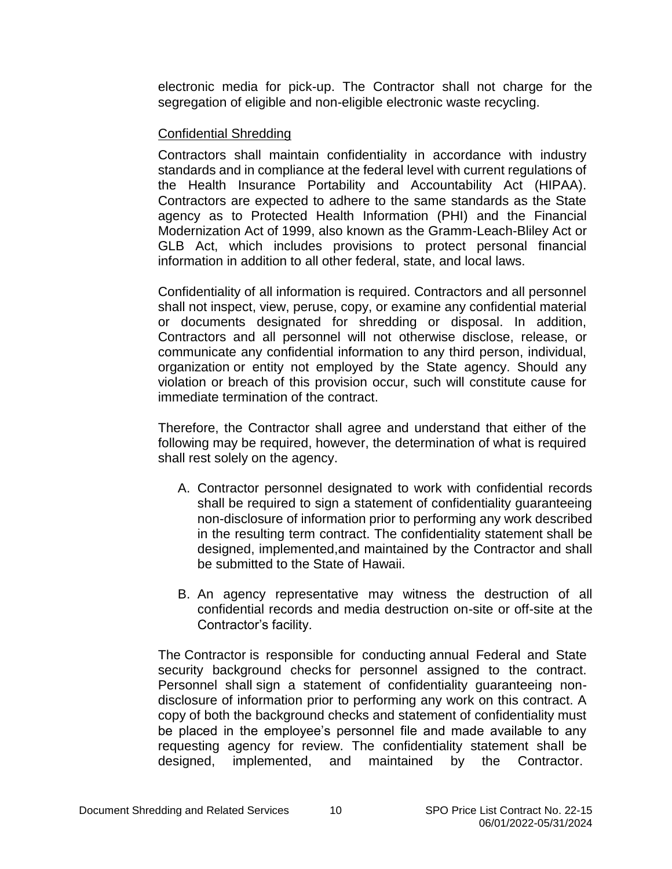<span id="page-9-0"></span>electronic media for pick-up. The Contractor shall not charge for the segregation of eligible and non-eligible electronic waste recycling.

#### Confidential Shredding

Contractors shall maintain confidentiality in accordance with industry standards and in compliance at the federal level with current regulations of the Health Insurance Portability and Accountability Act (HIPAA). Contractors are expected to adhere to the same standards as the State agency as to Protected Health Information (PHI) and the Financial Modernization Act of 1999, also known as the Gramm-Leach-Bliley Act or GLB Act, which includes provisions to protect personal financial information in addition to all other federal, state, and local laws.

Confidentiality of all information is required. Contractors and all personnel shall not inspect, view, peruse, copy, or examine any confidential material or documents designated for shredding or disposal. In addition, Contractors and all personnel will not otherwise disclose, release, or communicate any confidential information to any third person, individual, organization or entity not employed by the State agency. Should any violation or breach of this provision occur, such will constitute cause for immediate termination of the contract.

Therefore, the Contractor shall agree and understand that either of the following may be required, however, the determination of what is required shall rest solely on the agency.

- A. Contractor personnel designated to work with confidential records shall be required to sign a statement of confidentiality guaranteeing non-disclosure of information prior to performing any work described in the resulting term contract. The confidentiality statement shall be designed, implemented,and maintained by the Contractor and shall be submitted to the State of Hawaii.
- B. An agency representative may witness the destruction of all confidential records and media destruction on-site or off-site at the Contractor's facility.

The Contractor is responsible for conducting annual Federal and State security background checks for personnel assigned to the contract. Personnel shall sign a statement of confidentiality guaranteeing nondisclosure of information prior to performing any work on this contract. A copy of both the background checks and statement of confidentiality must be placed in the employee's personnel file and made available to any requesting agency for review. The confidentiality statement shall be designed, implemented, and maintained by the Contractor.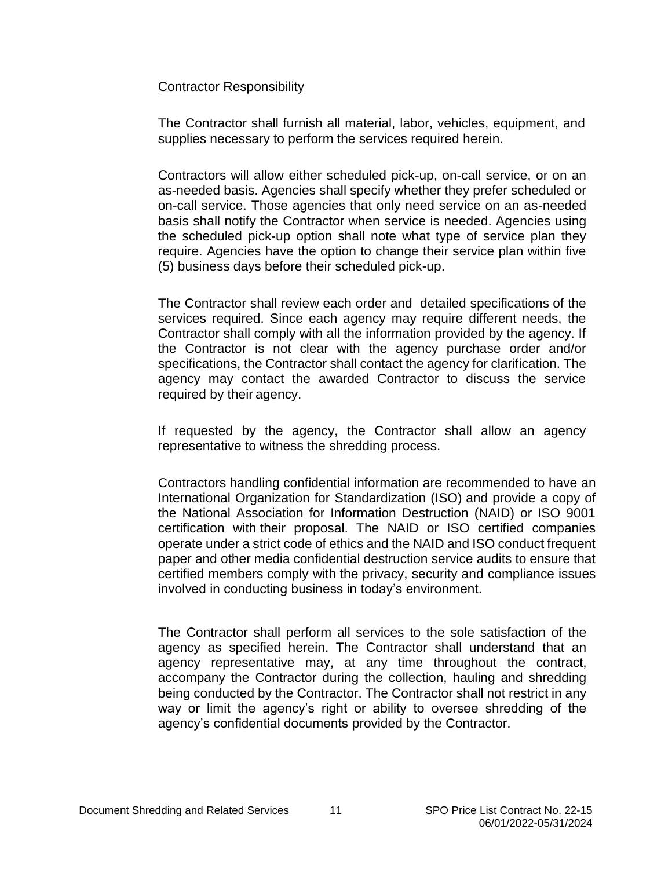#### <span id="page-10-0"></span>Contractor Responsibility

The Contractor shall furnish all material, labor, vehicles, equipment, and supplies necessary to perform the services required herein.

Contractors will allow either scheduled pick-up, on-call service, or on an as-needed basis. Agencies shall specify whether they prefer scheduled or on-call service. Those agencies that only need service on an as-needed basis shall notify the Contractor when service is needed. Agencies using the scheduled pick-up option shall note what type of service plan they require. Agencies have the option to change their service plan within five (5) business days before their scheduled pick-up.

The Contractor shall review each order and detailed specifications of the services required. Since each agency may require different needs, the Contractor shall comply with all the information provided by the agency. If the Contractor is not clear with the agency purchase order and/or specifications, the Contractor shall contact the agency for clarification. The agency may contact the awarded Contractor to discuss the service required by their agency.

If requested by the agency, the Contractor shall allow an agency representative to witness the shredding process.

Contractors handling confidential information are recommended to have an International Organization for Standardization (ISO) and provide a copy of the National Association for Information Destruction (NAID) or ISO 9001 certification with their proposal. The NAID or ISO certified companies operate under a strict code of ethics and the NAID and ISO conduct frequent paper and other media confidential destruction service audits to ensure that certified members comply with the privacy, security and compliance issues involved in conducting business in today's environment.

The Contractor shall perform all services to the sole satisfaction of the agency as specified herein. The Contractor shall understand that an agency representative may, at any time throughout the contract, accompany the Contractor during the collection, hauling and shredding being conducted by the Contractor. The Contractor shall not restrict in any way or limit the agency's right or ability to oversee shredding of the agency's confidential documents provided by the Contractor.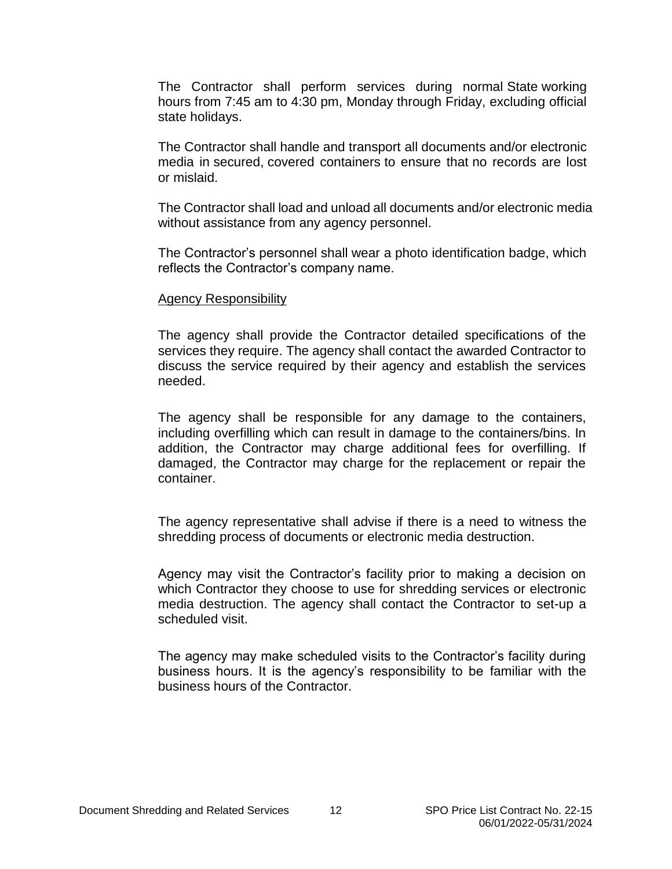<span id="page-11-0"></span>The Contractor shall perform services during normal State working hours from 7:45 am to 4:30 pm, Monday through Friday, excluding official state holidays.

The Contractor shall handle and transport all documents and/or electronic media in secured, covered containers to ensure that no records are lost or mislaid.

The Contractor shall load and unload all documents and/or electronic media without assistance from any agency personnel.

The Contractor's personnel shall wear a photo identification badge, which reflects the Contractor's company name.

#### Agency Responsibility

The agency shall provide the Contractor detailed specifications of the services they require. The agency shall contact the awarded Contractor to discuss the service required by their agency and establish the services needed.

The agency shall be responsible for any damage to the containers, including overfilling which can result in damage to the containers/bins. In addition, the Contractor may charge additional fees for overfilling. If damaged, the Contractor may charge for the replacement or repair the container.

The agency representative shall advise if there is a need to witness the shredding process of documents or electronic media destruction.

Agency may visit the Contractor's facility prior to making a decision on which Contractor they choose to use for shredding services or electronic media destruction. The agency shall contact the Contractor to set-up a scheduled visit.

The agency may make scheduled visits to the Contractor's facility during business hours. It is the agency's responsibility to be familiar with the business hours of the Contractor.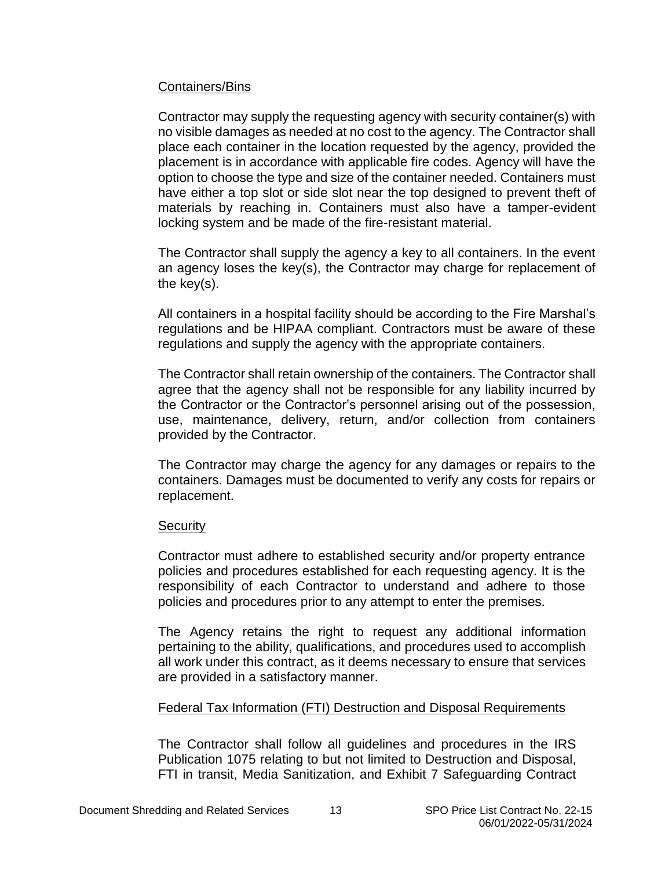#### <span id="page-12-0"></span>Containers/Bins

Contractor may supply the requesting agency with security container(s) with no visible damages as needed at no cost to the agency. The Contractor shall place each container in the location requested by the agency, provided the placement is in accordance with applicable fire codes. Agency will have the option to choose the type and size of the container needed. Containers must have either a top slot or side slot near the top designed to prevent theft of materials by reaching in. Containers must also have a tamper-evident locking system and be made of the fire-resistant material.

The Contractor shall supply the agency a key to all containers. In the event an agency loses the key(s), the Contractor may charge for replacement of the key(s).

All containers in a hospital facility should be according to the Fire Marshal's regulations and be HIPAA compliant. Contractors must be aware of these regulations and supply the agency with the appropriate containers.

The Contractor shall retain ownership of the containers. The Contractor shall agree that the agency shall not be responsible for any liability incurred by the Contractor or the Contractor's personnel arising out of the possession, use, maintenance, delivery, return, and/or collection from containers provided by the Contractor.

The Contractor may charge the agency for any damages or repairs to the containers. Damages must be documented to verify any costs for repairs or replacement.

#### **Security**

Contractor must adhere to established security and/or property entrance policies and procedures established for each requesting agency. It is the responsibility of each Contractor to understand and adhere to those policies and procedures prior to any attempt to enter the premises.

The Agency retains the right to request any additional information pertaining to the ability, qualifications, and procedures used to accomplish all work under this contract, as it deems necessary to ensure that services are provided in a satisfactory manner.

#### Federal Tax Information (FTI) Destruction and Disposal Requirements

The Contractor shall follow all guidelines and procedures in the IRS Publication 1075 relating to but not limited to Destruction and Disposal, FTI in transit, Media Sanitization, and Exhibit 7 Safeguarding Contract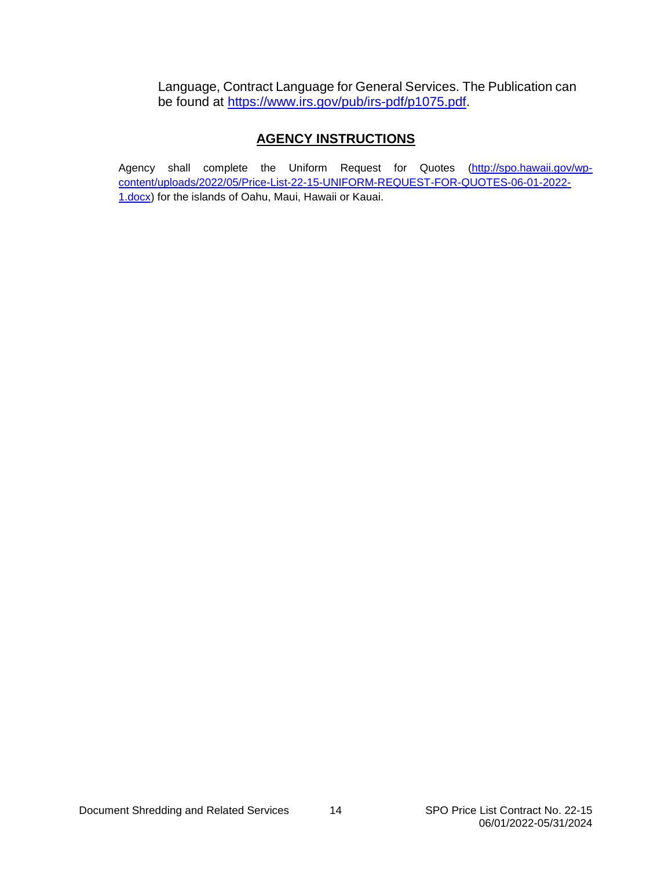Language, Contract Language for General Services. The Publication can be found at [https://www.irs.gov/pub/irs-pdf/p1075.pdf.](https://www.irs.gov/pub/irs-pdf/p1075.pdf)

#### **AGENCY INSTRUCTIONS**

Agency shall complete the Uniform Request for Quotes [\(http://spo.hawaii.gov/wp](http://spo.hawaii.gov/wp-content/uploads/2022/05/Price-List-22-15-UNIFORM-REQUEST-FOR-QUOTES-06-01-2022-1.docx)[content/uploads/2022/05/Price-List-22-15-UNIFORM-REQUEST-FOR-QUOTES-06-01-2022-](http://spo.hawaii.gov/wp-content/uploads/2022/05/Price-List-22-15-UNIFORM-REQUEST-FOR-QUOTES-06-01-2022-1.docx) [1.docx\)](http://spo.hawaii.gov/wp-content/uploads/2022/05/Price-List-22-15-UNIFORM-REQUEST-FOR-QUOTES-06-01-2022-1.docx) for the islands of Oahu, Maui, Hawaii or Kauai.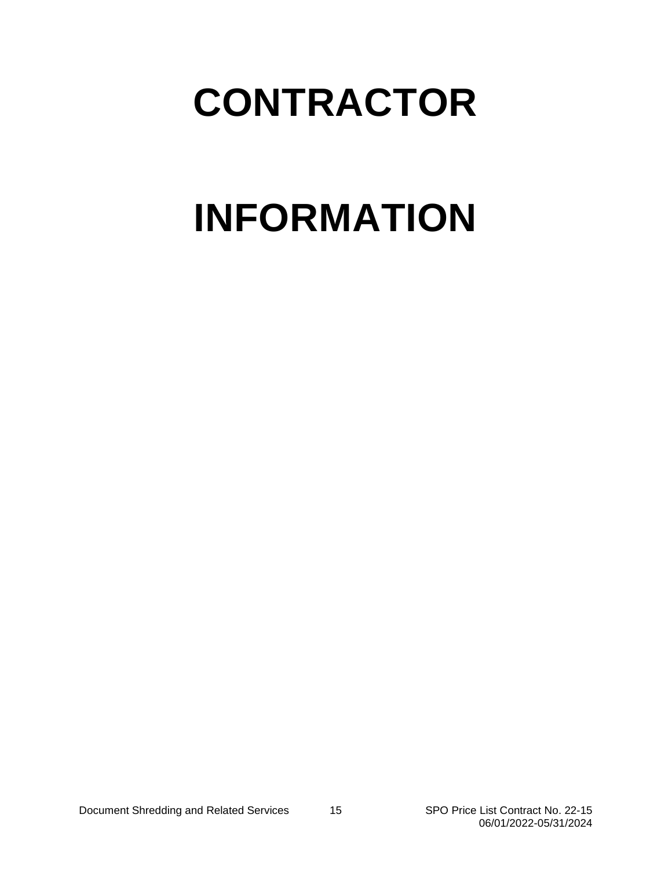## **CONTRACTOR**

# **INFORMATION**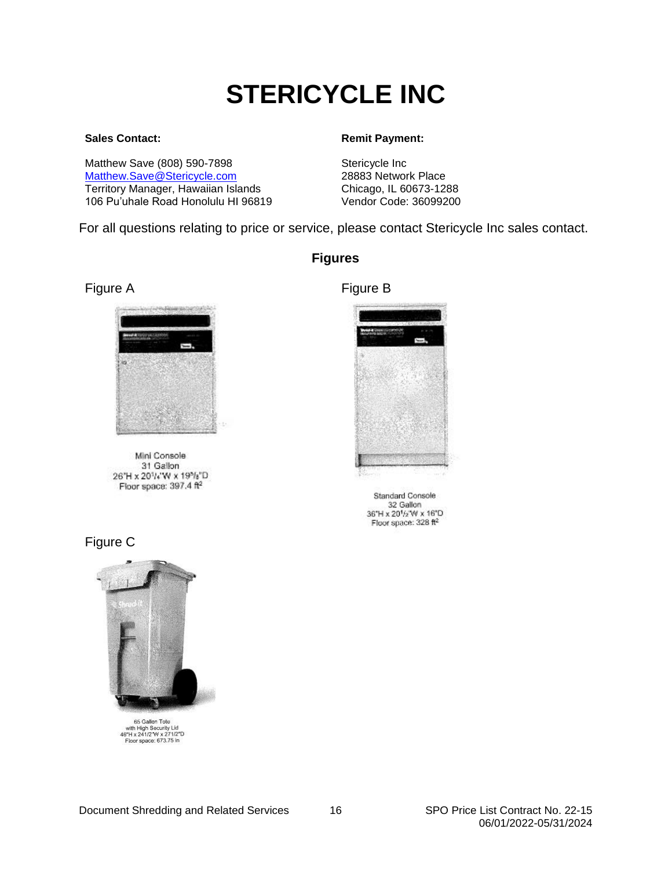## **STERICYCLE INC**

#### <span id="page-15-0"></span>**Sales Contact:**

Matthew Save (808) 590-7898 [Matthew.Save@Stericycle.com](mailto:Matthew.Save@Stericycle.com) Territory Manager, Hawaiian Islands 106 Pu'uhale Road Honolulu HI 96819

#### **Remit Payment:**

Stericycle Inc 28883 Network Place Chicago, IL 60673-1288 Vendor Code: 36099200

For all questions relating to price or service, please contact Stericycle Inc sales contact.

**Figures**





Mini Console 31 Gallon 26"H x 20"/¿"W x 19"/s"D Floor space: 397.4 ft<sup>2</sup>

### Figure C



65 Gallon Tote bo Gallen Tote<br>with High Security Lid<br>46"H x 241/2"W x 271/2"D Floor space: 673.75 in



**Standard Console** 32 Gallon 36"H x 201/2"W x 16"D Floor space:  $328$  ft<sup>2</sup>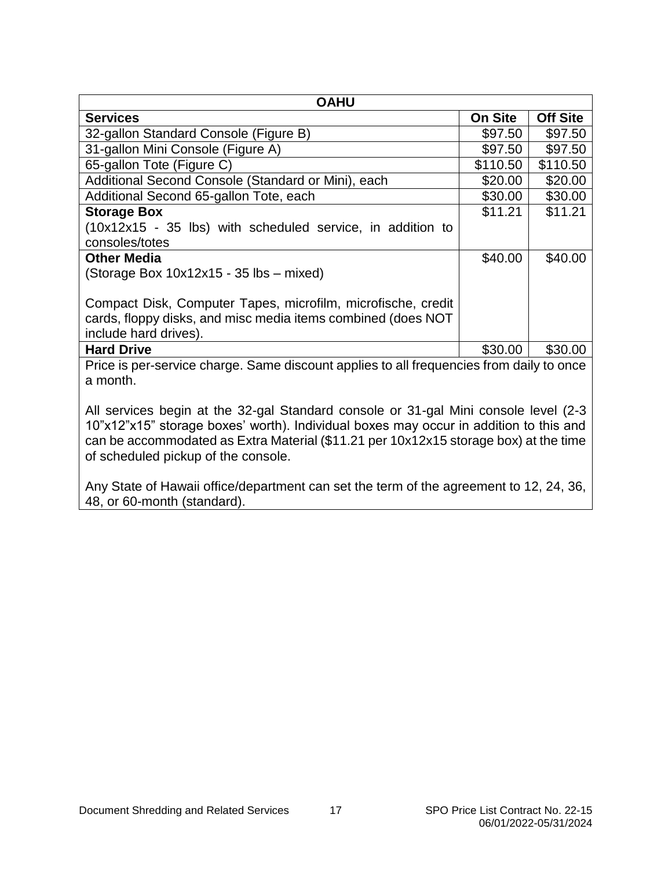<span id="page-16-0"></span>

| <b>OAHU</b>                                                                                                                                           |                |                 |  |
|-------------------------------------------------------------------------------------------------------------------------------------------------------|----------------|-----------------|--|
| <b>Services</b>                                                                                                                                       | <b>On Site</b> | <b>Off Site</b> |  |
| 32-gallon Standard Console (Figure B)                                                                                                                 | \$97.50        | \$97.50         |  |
| 31-gallon Mini Console (Figure A)                                                                                                                     | \$97.50        | \$97.50         |  |
| 65-gallon Tote (Figure C)                                                                                                                             | \$110.50       | \$110.50        |  |
| Additional Second Console (Standard or Mini), each                                                                                                    | \$20.00        | \$20.00         |  |
| Additional Second 65-gallon Tote, each                                                                                                                | \$30.00        | \$30.00         |  |
| <b>Storage Box</b>                                                                                                                                    | \$11.21        | \$11.21         |  |
| (10x12x15 - 35 lbs) with scheduled service, in addition to                                                                                            |                |                 |  |
| consoles/totes                                                                                                                                        |                |                 |  |
| <b>Other Media</b>                                                                                                                                    | \$40.00        | \$40.00         |  |
| (Storage Box 10x12x15 - 35 lbs - mixed)                                                                                                               |                |                 |  |
| Compact Disk, Computer Tapes, microfilm, microfische, credit<br>cards, floppy disks, and misc media items combined (does NOT<br>include hard drives). |                |                 |  |
| <b>Hard Drive</b>                                                                                                                                     | \$30.00        | \$30.00         |  |
| Price is per-service charge. Same discount applies to all frequencies from daily to once<br>a month.                                                  |                |                 |  |

All services begin at the 32-gal Standard console or 31-gal Mini console level (2-3 10"x12"x15" storage boxes' worth). Individual boxes may occur in addition to this and can be accommodated as Extra Material (\$11.21 per 10x12x15 storage box) at the time of scheduled pickup of the console.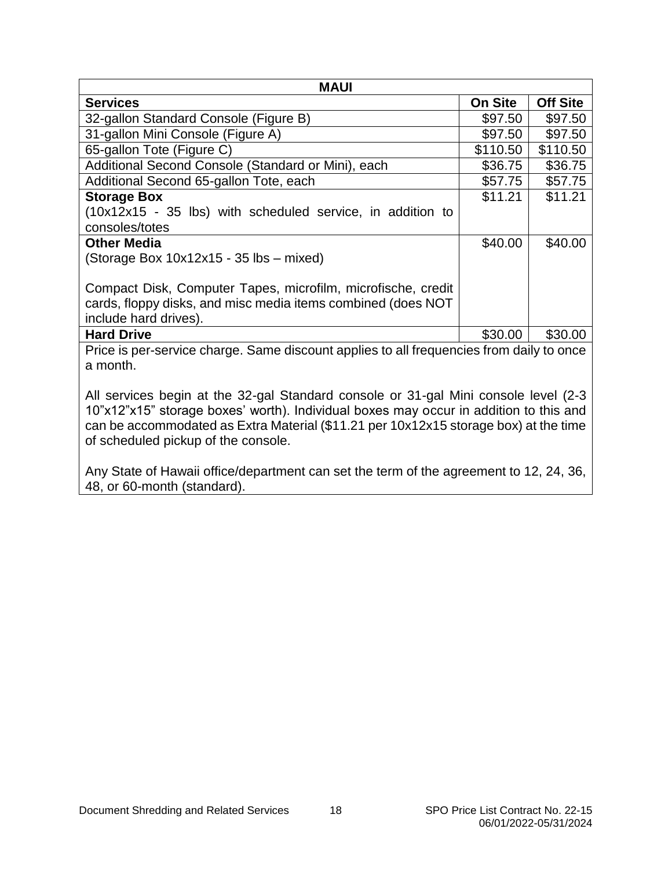<span id="page-17-0"></span>

| <b>MAUI</b>                                                                                                                                                                                                                                                                                                 |                |                 |  |
|-------------------------------------------------------------------------------------------------------------------------------------------------------------------------------------------------------------------------------------------------------------------------------------------------------------|----------------|-----------------|--|
| <b>Services</b>                                                                                                                                                                                                                                                                                             | <b>On Site</b> | <b>Off Site</b> |  |
| 32-gallon Standard Console (Figure B)                                                                                                                                                                                                                                                                       | \$97.50        | \$97.50         |  |
| 31-gallon Mini Console (Figure A)                                                                                                                                                                                                                                                                           | \$97.50        | \$97.50         |  |
| 65-gallon Tote (Figure C)                                                                                                                                                                                                                                                                                   | \$110.50       | \$110.50        |  |
| Additional Second Console (Standard or Mini), each                                                                                                                                                                                                                                                          | \$36.75        | \$36.75         |  |
| Additional Second 65-gallon Tote, each                                                                                                                                                                                                                                                                      | \$57.75        | \$57.75         |  |
| <b>Storage Box</b>                                                                                                                                                                                                                                                                                          | \$11.21        | \$11.21         |  |
| $(10x12x15 - 35$ lbs) with scheduled service, in addition to                                                                                                                                                                                                                                                |                |                 |  |
| consoles/totes                                                                                                                                                                                                                                                                                              |                |                 |  |
| <b>Other Media</b>                                                                                                                                                                                                                                                                                          | \$40.00        | \$40.00         |  |
| (Storage Box 10x12x15 - 35 lbs - mixed)                                                                                                                                                                                                                                                                     |                |                 |  |
| Compact Disk, Computer Tapes, microfilm, microfische, credit<br>cards, floppy disks, and misc media items combined (does NOT<br>include hard drives).                                                                                                                                                       |                |                 |  |
| <b>Hard Drive</b>                                                                                                                                                                                                                                                                                           | \$30.00        | \$30.00         |  |
| Price is per-service charge. Same discount applies to all frequencies from daily to once<br>a month.                                                                                                                                                                                                        |                |                 |  |
| All services begin at the 32-gal Standard console or 31-gal Mini console level (2-3<br>10"x12"x15" storage boxes' worth). Individual boxes may occur in addition to this and<br>can be accommodated as Extra Material (\$11.21 per 10x12x15 storage box) at the time<br>of scheduled pickup of the console. |                |                 |  |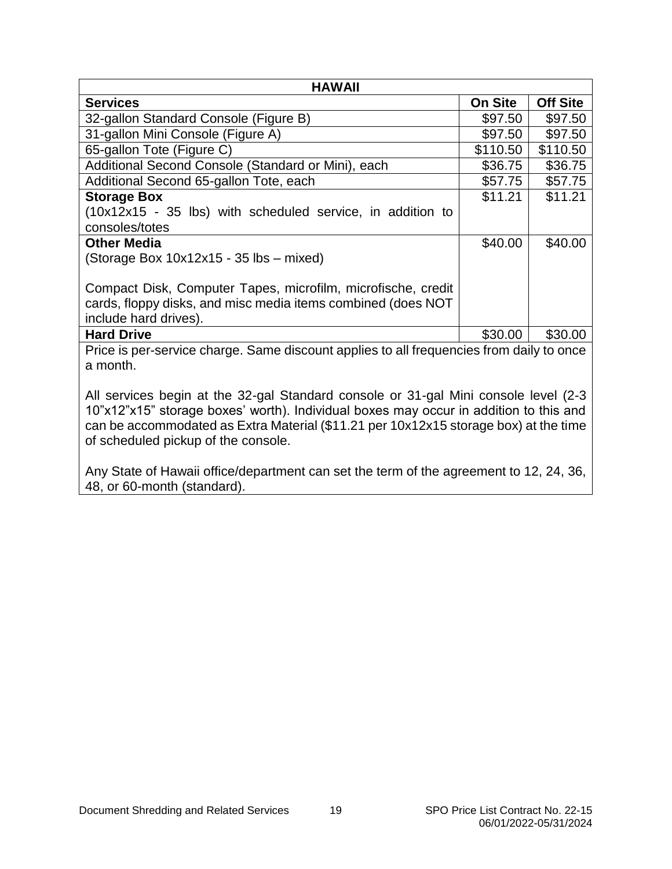<span id="page-18-0"></span>

| <b>HAWAII</b>                                                                                                                                                                                                                                                                                               |                |                 |  |
|-------------------------------------------------------------------------------------------------------------------------------------------------------------------------------------------------------------------------------------------------------------------------------------------------------------|----------------|-----------------|--|
| <b>Services</b>                                                                                                                                                                                                                                                                                             | <b>On Site</b> | <b>Off Site</b> |  |
| 32-gallon Standard Console (Figure B)                                                                                                                                                                                                                                                                       | \$97.50        | \$97.50         |  |
| 31-gallon Mini Console (Figure A)                                                                                                                                                                                                                                                                           | \$97.50        | \$97.50         |  |
| 65-gallon Tote (Figure C)                                                                                                                                                                                                                                                                                   | \$110.50       | \$110.50        |  |
| Additional Second Console (Standard or Mini), each                                                                                                                                                                                                                                                          | \$36.75        | \$36.75         |  |
| Additional Second 65-gallon Tote, each                                                                                                                                                                                                                                                                      | \$57.75        | \$57.75         |  |
| <b>Storage Box</b>                                                                                                                                                                                                                                                                                          | \$11.21        | \$11.21         |  |
| (10x12x15 - 35 lbs) with scheduled service, in addition to                                                                                                                                                                                                                                                  |                |                 |  |
| consoles/totes                                                                                                                                                                                                                                                                                              |                |                 |  |
| <b>Other Media</b>                                                                                                                                                                                                                                                                                          | \$40.00        | \$40.00         |  |
| (Storage Box 10x12x15 - 35 lbs - mixed)                                                                                                                                                                                                                                                                     |                |                 |  |
| Compact Disk, Computer Tapes, microfilm, microfische, credit<br>cards, floppy disks, and misc media items combined (does NOT<br>include hard drives).                                                                                                                                                       |                |                 |  |
| <b>Hard Drive</b>                                                                                                                                                                                                                                                                                           | \$30.00        | \$30.00         |  |
| Price is per-service charge. Same discount applies to all frequencies from daily to once<br>a month.                                                                                                                                                                                                        |                |                 |  |
| All services begin at the 32-gal Standard console or 31-gal Mini console level (2-3<br>10"x12"x15" storage boxes' worth). Individual boxes may occur in addition to this and<br>can be accommodated as Extra Material (\$11.21 per 10x12x15 storage box) at the time<br>of scheduled pickup of the console. |                |                 |  |